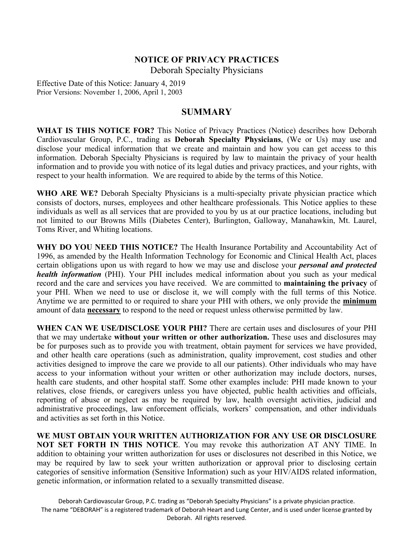# **NOTICE OF PRIVACY PRACTICES** Deborah Specialty Physicians

Effective Date of this Notice: January 4, 2019 Prior Versions: November 1, 2006, April 1, 2003

# **SUMMARY**

**WHAT IS THIS NOTICE FOR?** This Notice of Privacy Practices (Notice) describes how Deborah Cardiovascular Group, P.C., trading as **Deborah Specialty Physicians**, (We or Us) may use and disclose your medical information that we create and maintain and how you can get access to this information. Deborah Specialty Physicians is required by law to maintain the privacy of your health information and to provide you with notice of its legal duties and privacy practices, and your rights, with respect to your health information. We are required to abide by the terms of this Notice.

**WHO ARE WE?** Deborah Specialty Physicians is a multi-specialty private physician practice which consists of doctors, nurses, employees and other healthcare professionals. This Notice applies to these individuals as well as all services that are provided to you by us at our practice locations, including but not limited to our Browns Mills (Diabetes Center), Burlington, Galloway, Manahawkin, Mt. Laurel, Toms River, and Whiting locations.

**WHY DO YOU NEED THIS NOTICE?** The Health Insurance Portability and Accountability Act of 1996, as amended by the Health Information Technology for Economic and Clinical Health Act, places certain obligations upon us with regard to how we may use and disclose your *personal and protected health information* (PHI). Your PHI includes medical information about you such as your medical record and the care and services you have received. We are committed to **maintaining the privacy** of your PHI. When we need to use or disclose it, we will comply with the full terms of this Notice. Anytime we are permitted to or required to share your PHI with others, we only provide the **minimum** amount of data **necessary** to respond to the need or request unless otherwise permitted by law.

**WHEN CAN WE USE/DISCLOSE YOUR PHI?** There are certain uses and disclosures of your PHI that we may undertake **without your written or other authorization.** These uses and disclosures may be for purposes such as to provide you with treatment, obtain payment for services we have provided, and other health care operations (such as administration, quality improvement, cost studies and other activities designed to improve the care we provide to all our patients). Other individuals who may have access to your information without your written or other authorization may include doctors, nurses, health care students, and other hospital staff. Some other examples include: PHI made known to your relatives, close friends, or caregivers unless you have objected, public health activities and officials, reporting of abuse or neglect as may be required by law, health oversight activities, judicial and administrative proceedings, law enforcement officials, workers' compensation, and other individuals and activities as set forth in this Notice.

**WE MUST OBTAIN YOUR WRITTEN AUTHORIZATION FOR ANY USE OR DISCLOSURE NOT SET FORTH IN THIS NOTICE**. You may revoke this authorization AT ANY TIME. In addition to obtaining your written authorization for uses or disclosures not described in this Notice, we may be required by law to seek your written authorization or approval prior to disclosing certain categories of sensitive information (Sensitive Information) such as your HIV/AIDS related information, genetic information, or information related to a sexually transmitted disease.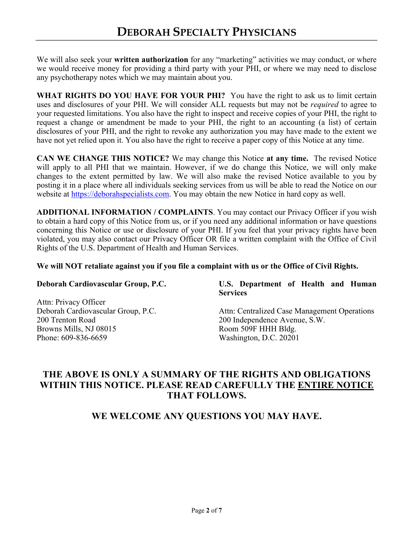We will also seek your **written authorization** for any "marketing" activities we may conduct, or where we would receive money for providing a third party with your PHI, or where we may need to disclose any psychotherapy notes which we may maintain about you.

**WHAT RIGHTS DO YOU HAVE FOR YOUR PHI?** You have the right to ask us to limit certain uses and disclosures of your PHI. We will consider ALL requests but may not be *required* to agree to your requested limitations. You also have the right to inspect and receive copies of your PHI, the right to request a change or amendment be made to your PHI, the right to an accounting (a list) of certain disclosures of your PHI, and the right to revoke any authorization you may have made to the extent we have not yet relied upon it. You also have the right to receive a paper copy of this Notice at any time.

**CAN WE CHANGE THIS NOTICE?** We may change this Notice **at any time.** The revised Notice will apply to all PHI that we maintain. However, if we do change this Notice, we will only make changes to the extent permitted by law. We will also make the revised Notice available to you by posting it in a place where all individuals seeking services from us will be able to read the Notice on our website at https://deborahspecialists.com. You may obtain the new Notice in hard copy as well.

**ADDITIONAL INFORMATION / COMPLAINTS**. You may contact our Privacy Officer if you wish to obtain a hard copy of this Notice from us, or if you need any additional information or have questions concerning this Notice or use or disclosure of your PHI. If you feel that your privacy rights have been violated, you may also contact our Privacy Officer OR file a written complaint with the Office of Civil Rights of the U.S. Department of Health and Human Services.

## **We will NOT retaliate against you if you file a complaint with us or the Office of Civil Rights.**

## **Deborah Cardiovascular Group, P.C.**

Attn: Privacy Officer Deborah Cardiovascular Group, P.C. 200 Trenton Road Browns Mills, NJ 08015 Phone: 609-836-6659

## **U.S. Department of Health and Human Services**

Attn: Centralized Case Management Operations 200 Independence Avenue, S.W. Room 509F HHH Bldg. Washington, D.C. 20201

# **THE ABOVE IS ONLY A SUMMARY OF THE RIGHTS AND OBLIGATIONS WITHIN THIS NOTICE. PLEASE READ CAREFULLY THE ENTIRE NOTICE THAT FOLLOWS.**

# **WE WELCOME ANY QUESTIONS YOU MAY HAVE.**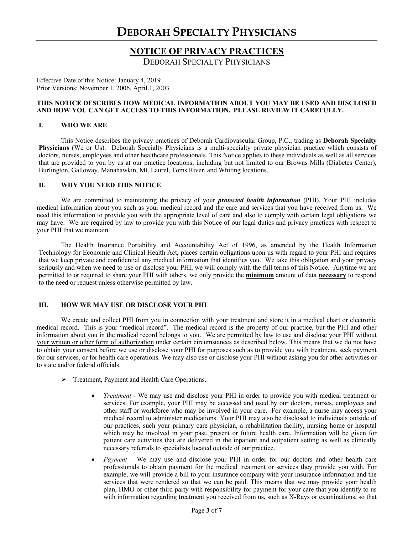# **NOTICE OF PRIVACY PRACTICES**

DEBORAH SPECIALTY PHYSICIANS

Effective Date of this Notice: January 4, 2019 Prior Versions: November 1, 2006, April 1, 2003

#### **THIS NOTICE DESCRIBES HOW MEDICAL INFORMATION ABOUT YOU MAY BE USED AND DISCLOSED AND HOW YOU CAN GET ACCESS TO THIS INFORMATION. PLEASE REVIEW IT CAREFULLY.**

#### **I. WHO WE ARE**

This Notice describes the privacy practices of Deborah Cardiovascular Group, P.C., trading as **Deborah Specialty Physicians** (We or Us). Deborah Specialty Physicians is a multi-specialty private physician practice which consists of doctors, nurses, employees and other healthcare professionals. This Notice applies to these individuals as well as all services that are provided to you by us at our practice locations, including but not limited to our Browns Mills (Diabetes Center), Burlington, Galloway, Manahawkin, Mt. Laurel, Toms River, and Whiting locations.

### **II. WHY YOU NEED THIS NOTICE**

We are committed to maintaining the privacy of your *protected health information* (PHI). Your PHI includes medical information about you such as your medical record and the care and services that you have received from us. We need this information to provide you with the appropriate level of care and also to comply with certain legal obligations we may have. We are required by law to provide you with this Notice of our legal duties and privacy practices with respect to your PHI that we maintain.

The Health Insurance Portability and Accountability Act of 1996, as amended by the Health Information Technology for Economic and Clinical Health Act, places certain obligations upon us with regard to your PHI and requires that we keep private and confidential any medical information that identifies you. We take this obligation and your privacy seriously and when we need to use or disclose your PHI, we will comply with the full terms of this Notice. Anytime we are permitted to or required to share your PHI with others, we only provide the **minimum** amount of data **necessary** to respond to the need or request unless otherwise permitted by law.

### **III. HOW WE MAY USE OR DISCLOSE YOUR PHI**

We create and collect PHI from you in connection with your treatment and store it in a medical chart or electronic medical record. This is your "medical record". The medical record is the property of our practice, but the PHI and other information about you in the medical record belongs to you. We are permitted by law to use and disclose your PHI without your written or other form of authorization under certain circumstances as described below. This means that we do not have to obtain your consent before we use or disclose your PHI for purposes such as to provide you with treatment, seek payment for our services, or for health care operations. We may also use or disclose your PHI without asking you for other activities or to state and/or federal officials.

#### Ø Treatment, Payment and Health Care Operations.

- *Treatment*  We may use and disclose your PHI in order to provide you with medical treatment or services. For example, your PHI may be accessed and used by our doctors, nurses, employees and other staff or workforce who may be involved in your care. For example, a nurse may access your medical record to administer medications. Your PHI may also be disclosed to individuals outside of our practices, such your primary care physician, a rehabilitation facility, nursing home or hospital which may be involved in your past, present or future health care. Information will be given for patient care activities that are delivered in the inpatient and outpatient setting as well as clinically necessary referrals to specialists located outside of our practice.
- *Payment* We may use and disclose your PHI in order for our doctors and other health care professionals to obtain payment for the medical treatment or services they provide you with. For example, we will provide a bill to your insurance company with your insurance information and the services that were rendered so that we can be paid. This means that we may provide your health plan, HMO or other third party with responsibility for payment for your care that you identify to us with information regarding treatment you received from us, such as X-Rays or examinations, so that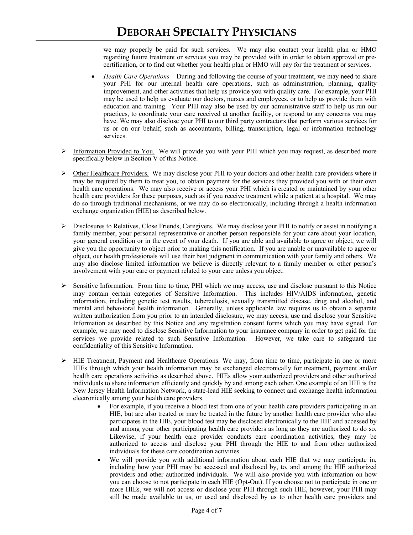we may properly be paid for such services. We may also contact your health plan or HMO regarding future treatment or services you may be provided with in order to obtain approval or precertification, or to find out whether your health plan or HMO will pay for the treatment or services.

- *Health Care Operations* During and following the course of your treatment, we may need to share your PHI for our internal health care operations, such as administration, planning, quality improvement, and other activities that help us provide you with quality care. For example, your PHI may be used to help us evaluate our doctors, nurses and employees, or to help us provide them with education and training. Your PHI may also be used by our administrative staff to help us run our practices, to coordinate your care received at another facility, or respond to any concerns you may have. We may also disclose your PHI to our third party contractors that perform various services for us or on our behalf, such as accountants, billing, transcription, legal or information technology services.
- $\triangleright$  Information Provided to You. We will provide you with your PHI which you may request, as described more specifically below in Section V of this Notice.
- $\triangleright$  Other Healthcare Providers. We may disclose your PHI to your doctors and other health care providers where it may be required by them to treat you, to obtain payment for the services they provided you with or their own health care operations. We may also receive or access your PHI which is created or maintained by your other health care providers for these purposes, such as if you receive treatment while a patient at a hospital. We may do so through traditional mechanisms, or we may do so electronically, including through a health information exchange organization (HIE) as described below.
- $\triangleright$  Disclosures to Relatives, Close Friends, Caregivers. We may disclose your PHI to notify or assist in notifying a family member, your personal representative or another person responsible for your care about your location, your general condition or in the event of your death. If you are able and available to agree or object, we will give you the opportunity to object prior to making this notification. If you are unable or unavailable to agree or object, our health professionals will use their best judgment in communication with your family and others. We may also disclose limited information we believe is directly relevant to a family member or other person's involvement with your care or payment related to your care unless you object.
- $\triangleright$  Sensitive Information. From time to time, PHI which we may access, use and disclose pursuant to this Notice may contain certain categories of Sensitive Information. This includes HIV/AIDS information, genetic information, including genetic test results, tuberculosis, sexually transmitted disease, drug and alcohol, and mental and behavioral health information. Generally, unless applicable law requires us to obtain a separate written authorization from you prior to an intended disclosure, we may access, use and disclose your Sensitive Information as described by this Notice and any registration consent forms which you may have signed. For example, we may need to disclose Sensitive Information to your insurance company in order to get paid for the services we provide related to such Sensitive Information. However, we take care to safeguard the confidentiality of this Sensitive Information.
- $\triangleright$  HIE Treatment, Payment and Healthcare Operations. We may, from time to time, participate in one or more HIEs through which your health information may be exchanged electronically for treatment, payment and/or health care operations activities as described above. HIEs allow your authorized providers and other authorized individuals to share information efficiently and quickly by and among each other. One example of an HIE is the New Jersey Health Information Network, a state-lead HIE seeking to connect and exchange health information electronically among your health care providers.
	- For example, if you receive a blood test from one of your health care providers participating in an HIE, but are also treated or may be treated in the future by another health care provider who also participates in the HIE, your blood test may be disclosed electronically to the HIE and accessed by and among your other participating health care providers as long as they are authorized to do so. Likewise, if your health care provider conducts care coordination activities, they may be authorized to access and disclose your PHI through the HIE to and from other authorized individuals for these care coordination activities.
	- We will provide you with additional information about each HIE that we may participate in, including how your PHI may be accessed and disclosed by, to, and among the HIE authorized providers and other authorized individuals. We will also provide you with information on how you can choose to not participate in each HIE (Opt-Out). If you choose not to participate in one or more HIEs, we will not access or disclose your PHI through such HIE, however, your PHI may still be made available to us, or used and disclosed by us to other health care providers and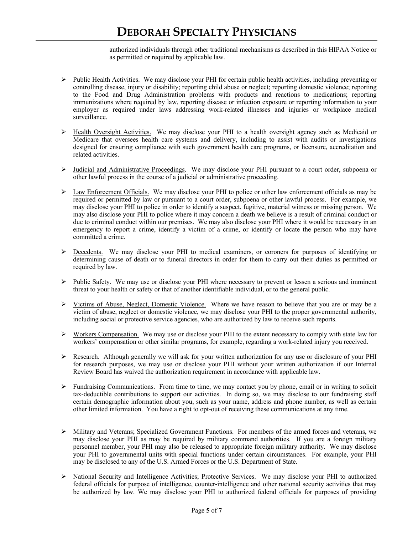authorized individuals through other traditional mechanisms as described in this HIPAA Notice or as permitted or required by applicable law.

- $\triangleright$  Public Health Activities. We may disclose your PHI for certain public health activities, including preventing or controlling disease, injury or disability; reporting child abuse or neglect; reporting domestic violence; reporting to the Food and Drug Administration problems with products and reactions to medications; reporting immunizations where required by law, reporting disease or infection exposure or reporting information to your employer as required under laws addressing work-related illnesses and injuries or workplace medical surveillance.
- Ø Health Oversight Activities. We may disclose your PHI to a health oversight agency such as Medicaid or Medicare that oversees health care systems and delivery, including to assist with audits or investigations designed for ensuring compliance with such government health care programs, or licensure, accreditation and related activities.
- $\triangleright$  Judicial and Administrative Proceedings. We may disclose your PHI pursuant to a court order, subpoena or other lawful process in the course of a judicial or administrative proceeding.
- $\triangleright$  Law Enforcement Officials. We may disclose your PHI to police or other law enforcement officials as may be required or permitted by law or pursuant to a court order, subpoena or other lawful process. For example, we may disclose your PHI to police in order to identify a suspect, fugitive, material witness or missing person. We may also disclose your PHI to police where it may concern a death we believe is a result of criminal conduct or due to criminal conduct within our premises. We may also disclose your PHI where it would be necessary in an emergency to report a crime, identify a victim of a crime, or identify or locate the person who may have committed a crime.
- $\triangleright$  Decedents. We may disclose your PHI to medical examiners, or coroners for purposes of identifying or determining cause of death or to funeral directors in order for them to carry out their duties as permitted or required by law.
- $\triangleright$  Public Safety. We may use or disclose your PHI where necessary to prevent or lessen a serious and imminent threat to your health or safety or that of another identifiable individual, or to the general public.
- $\triangleright$  Victims of Abuse, Neglect, Domestic Violence. Where we have reason to believe that you are or may be a victim of abuse, neglect or domestic violence, we may disclose your PHI to the proper governmental authority, including social or protective service agencies, who are authorized by law to receive such reports.
- $\triangleright$  Workers Compensation. We may use or disclose your PHI to the extent necessary to comply with state law for workers' compensation or other similar programs, for example, regarding a work-related injury you received.
- $\triangleright$  Research. Although generally we will ask for your written authorization for any use or disclosure of your PHI for research purposes, we may use or disclose your PHI without your written authorization if our Internal Review Board has waived the authorization requirement in accordance with applicable law.
- $\triangleright$  Fundraising Communications. From time to time, we may contact you by phone, email or in writing to solicit tax-deductible contributions to support our activities. In doing so, we may disclose to our fundraising staff certain demographic information about you, such as your name, address and phone number, as well as certain other limited information. You have a right to opt-out of receiving these communications at any time.
- Ø Military and Veterans; Specialized Government Functions. For members of the armed forces and veterans, we may disclose your PHI as may be required by military command authorities. If you are a foreign military personnel member, your PHI may also be released to appropriate foreign military authority. We may disclose your PHI to governmental units with special functions under certain circumstances. For example, your PHI may be disclosed to any of the U.S. Armed Forces or the U.S. Department of State.
- Ø National Security and Intelligence Activities; Protective Services. We may disclose your PHI to authorized federal officials for purpose of intelligence, counter-intelligence and other national security activities that may be authorized by law. We may disclose your PHI to authorized federal officials for purposes of providing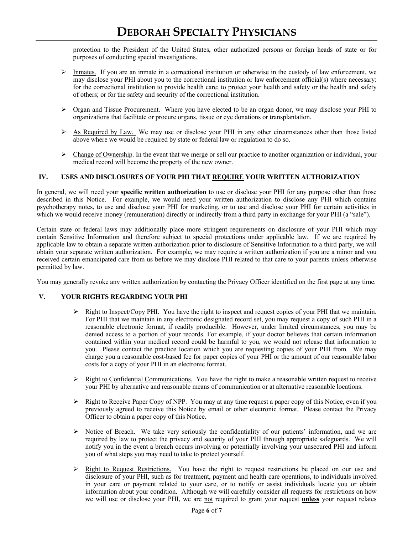protection to the President of the United States, other authorized persons or foreign heads of state or for purposes of conducting special investigations.

- $\triangleright$  Inmates. If you are an inmate in a correctional institution or otherwise in the custody of law enforcement, we may disclose your PHI about you to the correctional institution or law enforcement official(s) where necessary: for the correctional institution to provide health care; to protect your health and safety or the health and safety of others; or for the safety and security of the correctional institution.
- $\triangleright$  Organ and Tissue Procurement. Where you have elected to be an organ donor, we may disclose your PHI to organizations that facilitate or procure organs, tissue or eye donations or transplantation.
- $\triangleright$  As Required by Law. We may use or disclose your PHI in any other circumstances other than those listed above where we would be required by state or federal law or regulation to do so.
- $\triangleright$  Change of Ownership. In the event that we merge or sell our practice to another organization or individual, your medical record will become the property of the new owner.

### **IV. USES AND DISCLOSURES OF YOUR PHI THAT REQUIRE YOUR WRITTEN AUTHORIZATION**

In general, we will need your **specific written authorization** to use or disclose your PHI for any purpose other than those described in this Notice. For example, we would need your written authorization to disclose any PHI which contains psychotherapy notes, to use and disclose your PHI for marketing, or to use and disclose your PHI for certain activities in which we would receive money (remuneration) directly or indirectly from a third party in exchange for your PHI (a "sale").

Certain state or federal laws may additionally place more stringent requirements on disclosure of your PHI which may contain Sensitive Information and therefore subject to special protections under applicable law. If we are required by applicable law to obtain a separate written authorization prior to disclosure of Sensitive Information to a third party, we will obtain your separate written authorization. For example, we may require a written authorization if you are a minor and you received certain emancipated care from us before we may disclose PHI related to that care to your parents unless otherwise permitted by law.

You may generally revoke any written authorization by contacting the Privacy Officer identified on the first page at any time.

## **V. YOUR RIGHTS REGARDING YOUR PHI**

- $\triangleright$  Right to Inspect/Copy PHI. You have the right to inspect and request copies of your PHI that we maintain. For PHI that we maintain in any electronic designated record set, you may request a copy of such PHI in a reasonable electronic format, if readily producible. However, under limited circumstances, you may be denied access to a portion of your records. For example, if your doctor believes that certain information contained within your medical record could be harmful to you, we would not release that information to you. Please contact the practice location which you are requesting copies of your PHI from. We may charge you a reasonable cost-based fee for paper copies of your PHI or the amount of our reasonable labor costs for a copy of your PHI in an electronic format.
- $\triangleright$  Right to Confidential Communications. You have the right to make a reasonable written request to receive your PHI by alternative and reasonable means of communication or at alternative reasonable locations.
- $\triangleright$  Right to Receive Paper Copy of NPP. You may at any time request a paper copy of this Notice, even if you previously agreed to receive this Notice by email or other electronic format. Please contact the Privacy Officer to obtain a paper copy of this Notice.
- $\triangleright$  Notice of Breach. We take very seriously the confidentiality of our patients' information, and we are required by law to protect the privacy and security of your PHI through appropriate safeguards. We will notify you in the event a breach occurs involving or potentially involving your unsecured PHI and inform you of what steps you may need to take to protect yourself.
- $\triangleright$  Right to Request Restrictions. You have the right to request restrictions be placed on our use and disclosure of your PHI, such as for treatment, payment and health care operations, to individuals involved in your care or payment related to your care, or to notify or assist individuals locate you or obtain information about your condition. Although we will carefully consider all requests for restrictions on how we will use or disclose your PHI, we are not required to grant your request **unless** your request relates